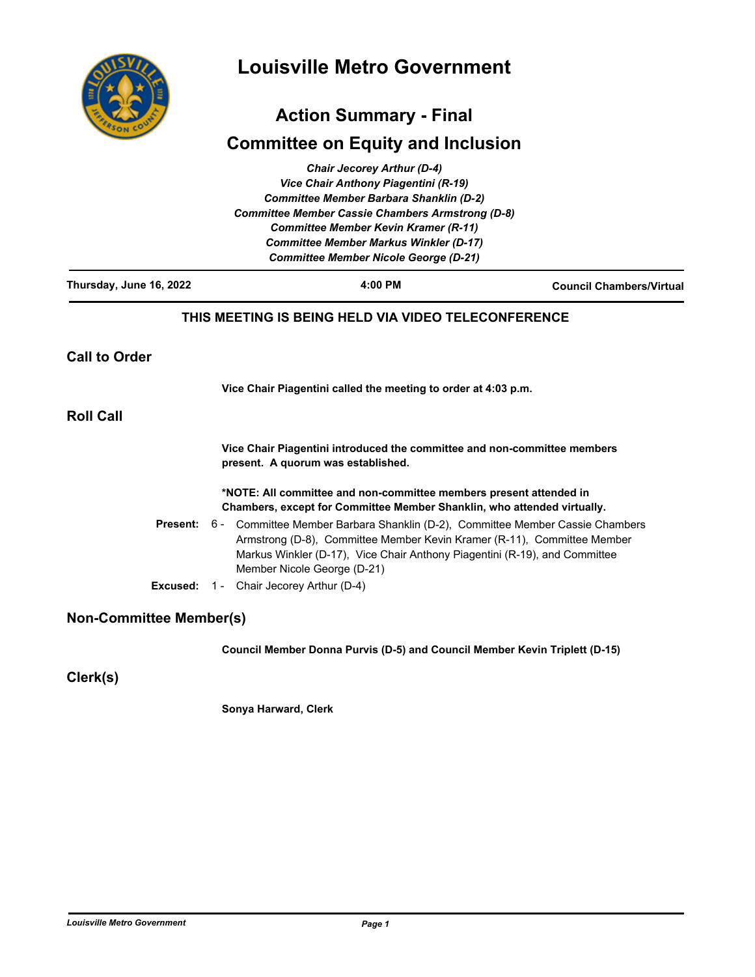

# **Louisville Metro Government**

## **Action Summary - Final**

## **Committee on Equity and Inclusion**

|                                | <b>Chair Jecorey Arthur (D-4)</b><br>Vice Chair Anthony Piagentini (R-19)                                                                                                                                                                                                |                                 |  |
|--------------------------------|--------------------------------------------------------------------------------------------------------------------------------------------------------------------------------------------------------------------------------------------------------------------------|---------------------------------|--|
|                                | <b>Committee Member Barbara Shanklin (D-2)</b>                                                                                                                                                                                                                           |                                 |  |
|                                | <b>Committee Member Cassie Chambers Armstrong (D-8)</b>                                                                                                                                                                                                                  |                                 |  |
|                                | <b>Committee Member Kevin Kramer (R-11)</b>                                                                                                                                                                                                                              |                                 |  |
|                                | <b>Committee Member Markus Winkler (D-17)</b><br><b>Committee Member Nicole George (D-21)</b>                                                                                                                                                                            |                                 |  |
|                                | 4:00 PM                                                                                                                                                                                                                                                                  |                                 |  |
| Thursday, June 16, 2022        |                                                                                                                                                                                                                                                                          | <b>Council Chambers/Virtual</b> |  |
|                                | THIS MEETING IS BEING HELD VIA VIDEO TELECONFERENCE                                                                                                                                                                                                                      |                                 |  |
| <b>Call to Order</b>           |                                                                                                                                                                                                                                                                          |                                 |  |
|                                | Vice Chair Piagentini called the meeting to order at 4:03 p.m.                                                                                                                                                                                                           |                                 |  |
| <b>Roll Call</b>               |                                                                                                                                                                                                                                                                          |                                 |  |
|                                | Vice Chair Piagentini introduced the committee and non-committee members<br>present. A quorum was established.                                                                                                                                                           |                                 |  |
|                                | *NOTE: All committee and non-committee members present attended in<br>Chambers, except for Committee Member Shanklin, who attended virtually.                                                                                                                            |                                 |  |
| Present:                       | 6 -<br>Committee Member Barbara Shanklin (D-2), Committee Member Cassie Chambers<br>Armstrong (D-8), Committee Member Kevin Kramer (R-11), Committee Member<br>Markus Winkler (D-17), Vice Chair Anthony Piagentini (R-19), and Committee<br>Member Nicole George (D-21) |                                 |  |
| Excused:                       | 1 - Chair Jecorey Arthur (D-4)                                                                                                                                                                                                                                           |                                 |  |
| <b>Non-Committee Member(s)</b> |                                                                                                                                                                                                                                                                          |                                 |  |
|                                | Council Member Donna Purvis (D-5) and Council Member Kevin Triplett (D-15)                                                                                                                                                                                               |                                 |  |

**Clerk(s)**

**Sonya Harward, Clerk**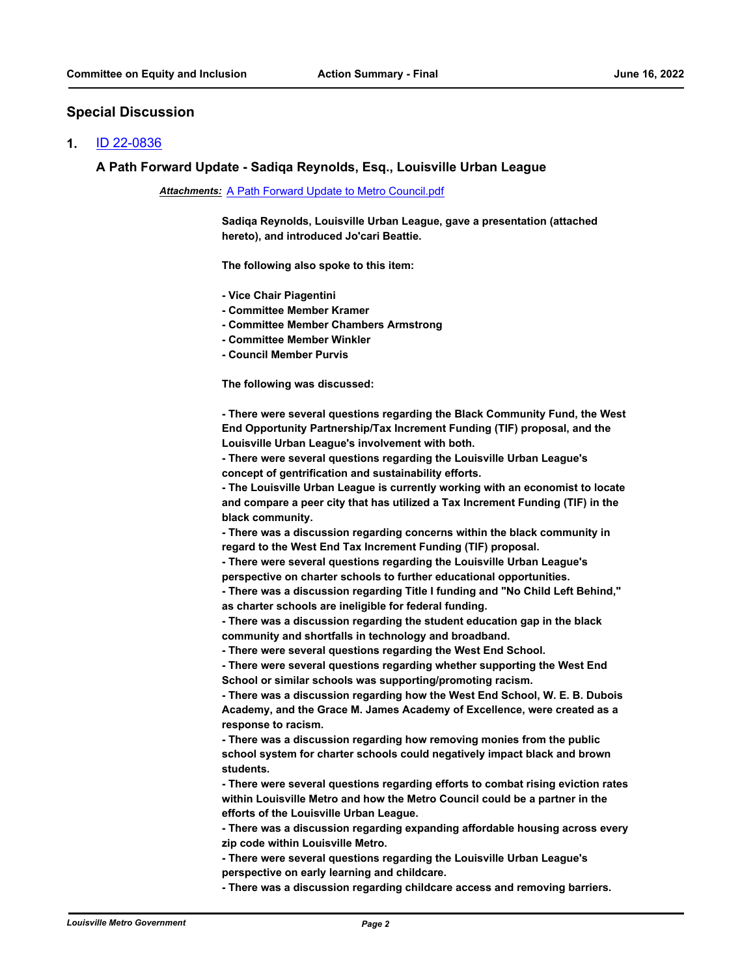#### **Special Discussion**

#### **1.** [ID 22-0836](http://louisville.legistar.com/gateway.aspx?m=l&id=/matter.aspx?key=60784)

#### **A Path Forward Update - Sadiqa Reynolds, Esq., Louisville Urban League**

#### *Attachments:* [A Path Forward Update to Metro Council.pdf](http://louisville.legistar.com/gateway.aspx?M=F&ID=b0e60e40-0f89-45db-b160-2c46fc850c60.pdf)

**Sadiqa Reynolds, Louisville Urban League, gave a presentation (attached hereto), and introduced Jo'cari Beattie.**

**The following also spoke to this item:**

- **Vice Chair Piagentini**
- **Committee Member Kramer**
- **Committee Member Chambers Armstrong**
- **Committee Member Winkler**
- **Council Member Purvis**

**The following was discussed:**

**- There were several questions regarding the Black Community Fund, the West End Opportunity Partnership/Tax Increment Funding (TIF) proposal, and the Louisville Urban League's involvement with both.**

**- There were several questions regarding the Louisville Urban League's concept of gentrification and sustainability efforts.**

**- The Louisville Urban League is currently working with an economist to locate and compare a peer city that has utilized a Tax Increment Funding (TIF) in the black community.**

**- There was a discussion regarding concerns within the black community in regard to the West End Tax Increment Funding (TIF) proposal.**

**- There were several questions regarding the Louisville Urban League's perspective on charter schools to further educational opportunities.**

**- There was a discussion regarding Title I funding and "No Child Left Behind," as charter schools are ineligible for federal funding.**

**- There was a discussion regarding the student education gap in the black community and shortfalls in technology and broadband.**

**- There were several questions regarding the West End School.**

**- There were several questions regarding whether supporting the West End School or similar schools was supporting/promoting racism.**

**- There was a discussion regarding how the West End School, W. E. B. Dubois Academy, and the Grace M. James Academy of Excellence, were created as a response to racism.**

**- There was a discussion regarding how removing monies from the public school system for charter schools could negatively impact black and brown students.**

**- There were several questions regarding efforts to combat rising eviction rates within Louisville Metro and how the Metro Council could be a partner in the efforts of the Louisville Urban League.**

**- There was a discussion regarding expanding affordable housing across every zip code within Louisville Metro.**

**- There were several questions regarding the Louisville Urban League's perspective on early learning and childcare.**

**- There was a discussion regarding childcare access and removing barriers.**